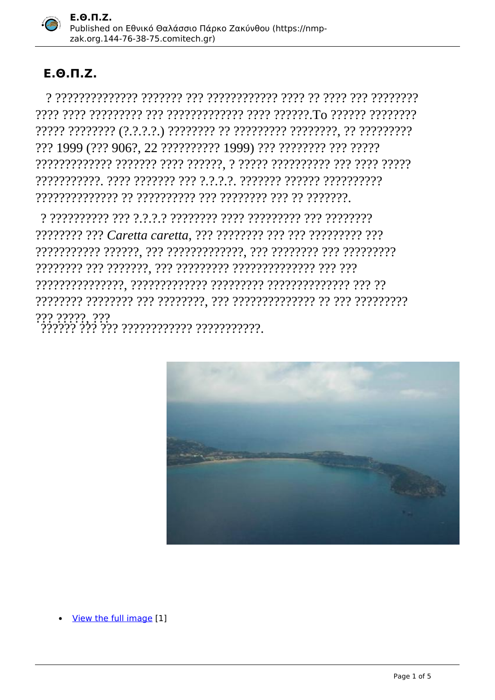

## $E.0. \Pi.Z.$

??? 1999 (??? 906?, 22 ?????????? 1999) ??? ???????? ??? ?????? 

???????? ??? Caretta caretta, ??? ???????? ??? ??? ????????? ??? 



View the full image [1]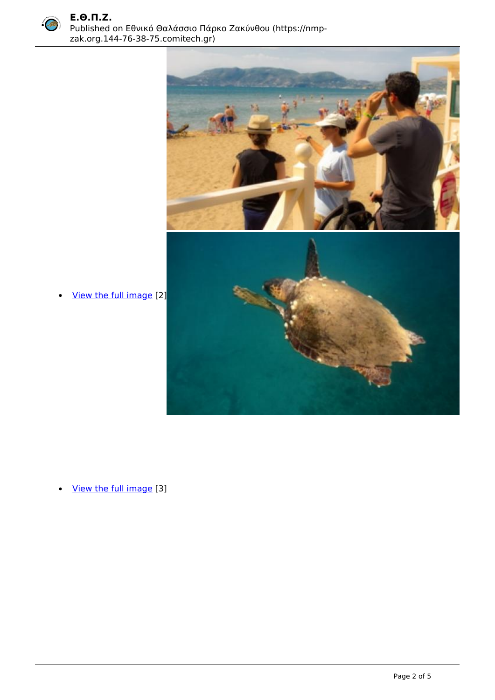



• <u>[View the full image](https://nmp-zak.org.144-76-38-75.comitech.gr/sites/default/files/IMG_7537_1.jpg)</u> [2]

[View the full image](https://nmp-zak.org.144-76-38-75.comitech.gr/sites/default/files/L.%20Sourbes%20P1000402_1_0.jpg) [3]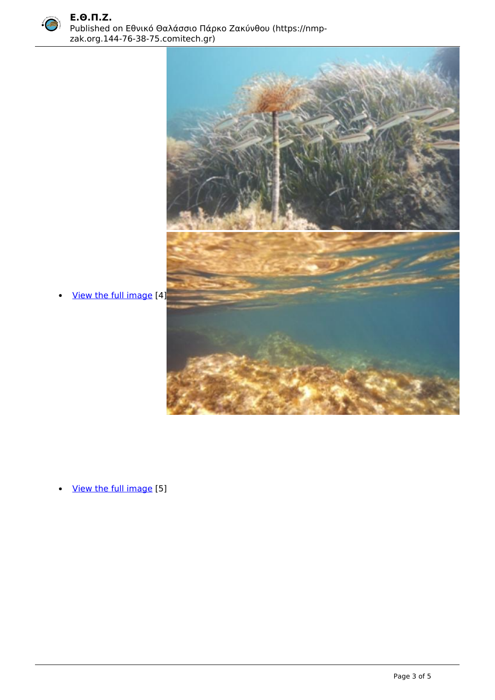



• <u>[View the full image](https://nmp-zak.org.144-76-38-75.comitech.gr/sites/default/files/LSourbes_165.jpg)</u> [4]

 [View the full image](https://nmp-zak.org.144-76-38-75.comitech.gr/sites/default/files/LSourbes_73.jpg) [5]  $\bullet$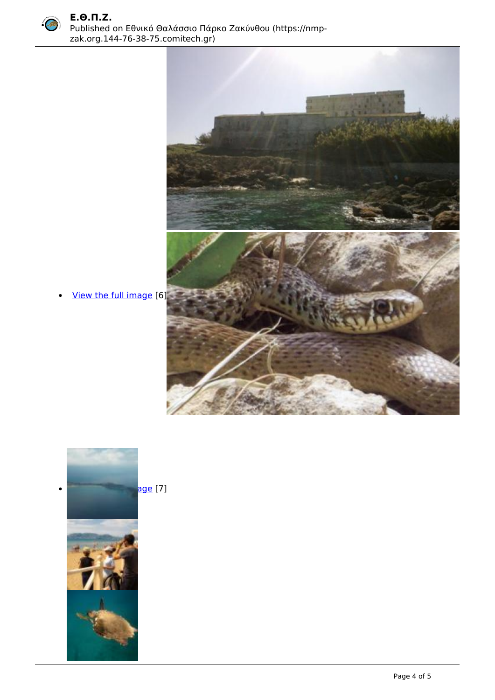<span id="page-3-0"></span>



• [View the full image](https://nmp-zak.org.144-76-38-75.comitech.gr/sites/default/files/18102012085_1.jpg) [6]



age[7]